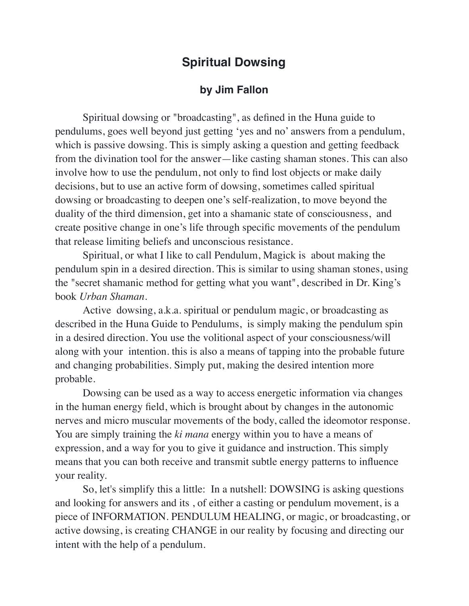## **Spiritual Dowsing**

## **by Jim Fallon**

Spiritual dowsing or "broadcasting", as defined in the Huna guide to pendulums, goes well beyond just getting 'yes and no' answers from a pendulum, which is passive dowsing. This is simply asking a question and getting feedback from the divination tool for the answer—like casting shaman stones. This can also involve how to use the pendulum, not only to find lost objects or make daily decisions, but to use an active form of dowsing, sometimes called spiritual dowsing or broadcasting to deepen one's self-realization, to move beyond the duality of the third dimension, get into a shamanic state of consciousness, and create positive change in one's life through specific movements of the pendulum that release limiting beliefs and unconscious resistance.

Spiritual, or what I like to call Pendulum, Magick is about making the pendulum spin in a desired direction. This is similar to using shaman stones, using the "secret shamanic method for getting what you want", described in Dr. King's book *Urban Shaman*.

Active dowsing, a.k.a. spiritual or pendulum magic, or broadcasting as described in the Huna Guide to Pendulums, is simply making the pendulum spin in a desired direction. You use the volitional aspect of your consciousness/will along with your intention. this is also a means of tapping into the probable future and changing probabilities. Simply put, making the desired intention more probable.

Dowsing can be used as a way to access energetic information via changes in the human energy field, which is brought about by changes in the autonomic nerves and micro muscular movements of the body, called the ideomotor response. You are simply training the *ki mana* energy within you to have a means of expression, and a way for you to give it guidance and instruction. This simply means that you can both receive and transmit subtle energy patterns to influence your reality.

So, let's simplify this a little: In a nutshell: DOWSING is asking questions and looking for answers and its , of either a casting or pendulum movement, is a piece of INFORMATION. PENDULUM HEALING, or magic, or broadcasting, or active dowsing, is creating CHANGE in our reality by focusing and directing our intent with the help of a pendulum.